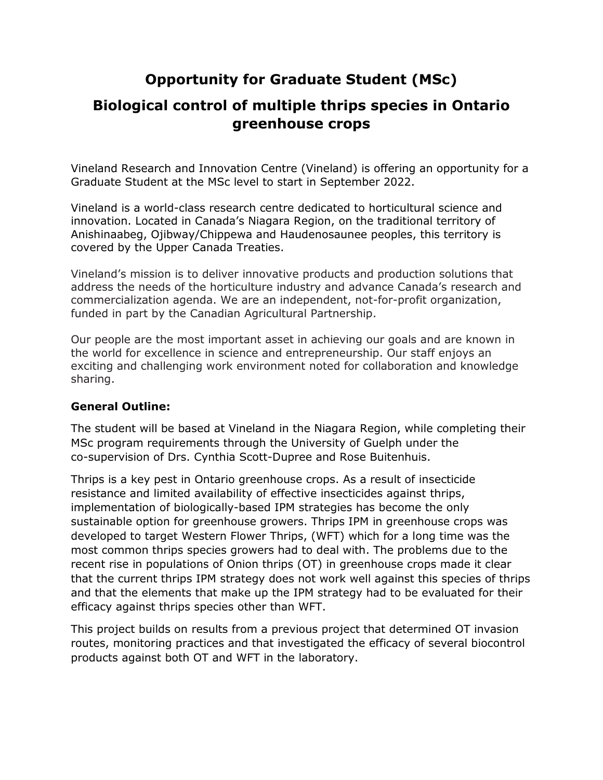# **Opportunity for Graduate Student (MSc)**

## **Biological control of multiple thrips species in Ontario greenhouse crops**

Vineland Research and Innovation Centre (Vineland) is offering an opportunity for a Graduate Student at the MSc level to start in September 2022.

Vineland is a world-class research centre dedicated to horticultural science and innovation. Located in Canada's Niagara Region, on the traditional territory of Anishinaabeg, Ojibway/Chippewa and Haudenosaunee peoples, this territory is covered by the Upper Canada Treaties.

Vineland's mission is to deliver innovative products and production solutions that address the needs of the horticulture industry and advance Canada's research and commercialization agenda. We are an independent, not-for-profit organization, funded in part by the Canadian Agricultural Partnership.

Our people are the most important asset in achieving our goals and are known in the world for excellence in science and entrepreneurship. Our staff enjoys an exciting and challenging work environment noted for collaboration and knowledge sharing.

#### **General Outline:**

The student will be based at Vineland in the Niagara Region, while completing their MSc program requirements through the University of Guelph under the co-supervision of Drs. Cynthia Scott-Dupree and Rose Buitenhuis.

Thrips is a key pest in Ontario greenhouse crops. As a result of insecticide resistance and limited availability of effective insecticides against thrips, implementation of biologically-based IPM strategies has become the only sustainable option for greenhouse growers. Thrips IPM in greenhouse crops was developed to target Western Flower Thrips, (WFT) which for a long time was the most common thrips species growers had to deal with. The problems due to the recent rise in populations of Onion thrips (OT) in greenhouse crops made it clear that the current thrips IPM strategy does not work well against this species of thrips and that the elements that make up the IPM strategy had to be evaluated for their efficacy against thrips species other than WFT.

This project builds on results from a previous project that determined OT invasion routes, monitoring practices and that investigated the efficacy of several biocontrol products against both OT and WFT in the laboratory.